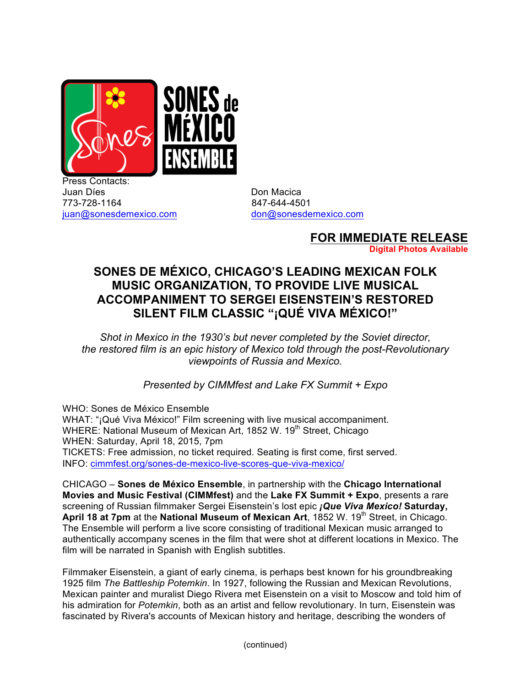

Press Contacts: Juan Díes **Don Macica** 773-728-1164 847-644-4501 juan@sonesdemexico.com don@sonesdemexico.com

**FOR IMMEDIATE RELEASE Digital Photos Available**

## **SONES DE MÉXICO, CHICAGO'S LEADING MEXICAN FOLK MUSIC ORGANIZATION, TO PROVIDE LIVE MUSICAL ACCOMPANIMENT TO SERGEI EISENSTEIN'S RESTORED SILENT FILM CLASSIC "¡QUÉ VIVA MÉXICO!"**

*Shot in Mexico in the 1930's but never completed by the Soviet director, the restored film is an epic history of Mexico told through the post-Revolutionary viewpoints of Russia and Mexico.*

*Presented by CIMMfest and Lake FX Summit + Expo*

WHO: Sones de México Ensemble WHAT: "¡Qué Viva México!" Film screening with live musical accompaniment. WHERE: National Museum of Mexican Art, 1852 W. 19<sup>th</sup> Street, Chicago WHEN: Saturday, April 18, 2015, 7pm TICKETS: Free admission, no ticket required. Seating is first come, first served. INFO: cimmfest.org/sones-de-mexico-live-scores-que-viva-mexico/

CHICAGO – **Sones de México Ensemble**, in partnership with the **Chicago International Movies and Music Festival (CIMMfest)** and the **Lake FX Summit + Expo**, presents a rare screening of Russian filmmaker Sergei Eisenstein's lost epic *¡Que Viva Mexico!* **Saturday,**  April 18 at 7pm at the National Museum of Mexican Art, 1852 W. 19<sup>th</sup> Street, in Chicago. The Ensemble will perform a live score consisting of traditional Mexican music arranged to authentically accompany scenes in the film that were shot at different locations in Mexico. The film will be narrated in Spanish with English subtitles.

Filmmaker Eisenstein, a giant of early cinema, is perhaps best known for his groundbreaking 1925 film *The Battleship Potemkin*. In 1927, following the Russian and Mexican Revolutions, Mexican painter and muralist Diego Rivera met Eisenstein on a visit to Moscow and told him of his admiration for *Potemkin*, both as an artist and fellow revolutionary. In turn, Eisenstein was fascinated by Rivera's accounts of Mexican history and heritage, describing the wonders of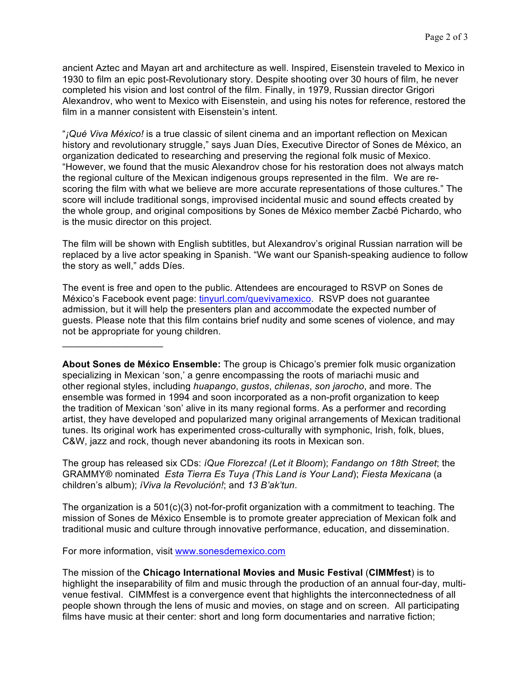ancient Aztec and Mayan art and architecture as well. Inspired, Eisenstein traveled to Mexico in 1930 to film an epic post-Revolutionary story. Despite shooting over 30 hours of film, he never completed his vision and lost control of the film. Finally, in 1979, Russian director Grigori Alexandrov, who went to Mexico with Eisenstein, and using his notes for reference, restored the film in a manner consistent with Eisenstein's intent.

"*¡Qué Viva México!* is a true classic of silent cinema and an important reflection on Mexican history and revolutionary struggle," says Juan Díes, Executive Director of Sones de México, an organization dedicated to researching and preserving the regional folk music of Mexico. "However, we found that the music Alexandrov chose for his restoration does not always match the regional culture of the Mexican indigenous groups represented in the film. We are rescoring the film with what we believe are more accurate representations of those cultures." The score will include traditional songs, improvised incidental music and sound effects created by the whole group, and original compositions by Sones de México member Zacbé Pichardo, who is the music director on this project.

The film will be shown with English subtitles, but Alexandrov's original Russian narration will be replaced by a live actor speaking in Spanish. "We want our Spanish-speaking audience to follow the story as well," adds Díes.

The event is free and open to the public. Attendees are encouraged to RSVP on Sones de México's Facebook event page: tinyurl.com/quevivamexico. RSVP does not guarantee admission, but it will help the presenters plan and accommodate the expected number of guests. Please note that this film contains brief nudity and some scenes of violence, and may not be appropriate for young children.

**About Sones de México Ensemble:** The group is Chicago's premier folk music organization specializing in Mexican 'son,' a genre encompassing the roots of mariachi music and other regional styles, including *huapango*, *gustos*, *chilenas*, *son jarocho*, and more. The ensemble was formed in 1994 and soon incorporated as a non-profit organization to keep the tradition of Mexican 'son' alive in its many regional forms. As a performer and recording artist, they have developed and popularized many original arrangements of Mexican traditional tunes. Its original work has experimented cross-culturally with symphonic, Irish, folk, blues, C&W, jazz and rock, though never abandoning its roots in Mexican son.

The group has released six CDs: *íQue Florezca! (Let it Bloom*); *Fandango on 18th Street*; the GRAMMY® nominated *Esta Tierra Es Tuya (This Land is Your Land*); *Fiesta Mexicana* (a children's album); *íViva la Revolución!*; and *13 B'ak'tun*.

The organization is a  $501(c)(3)$  not-for-profit organization with a commitment to teaching. The mission of Sones de México Ensemble is to promote greater appreciation of Mexican folk and traditional music and culture through innovative performance, education, and dissemination.

For more information, visit www.sonesdemexico.com

 $\mathcal{L}_\mathcal{L}$  , where  $\mathcal{L}_\mathcal{L}$  , we have the set of the set of the set of the set of the set of the set of the set of the set of the set of the set of the set of the set of the set of the set of the set of the set

The mission of the **Chicago International Movies and Music Festival** (**CIMMfest**) is to highlight the inseparability of film and music through the production of an annual four-day, multivenue festival. CIMMfest is a convergence event that highlights the interconnectedness of all people shown through the lens of music and movies, on stage and on screen. All participating films have music at their center: short and long form documentaries and narrative fiction;